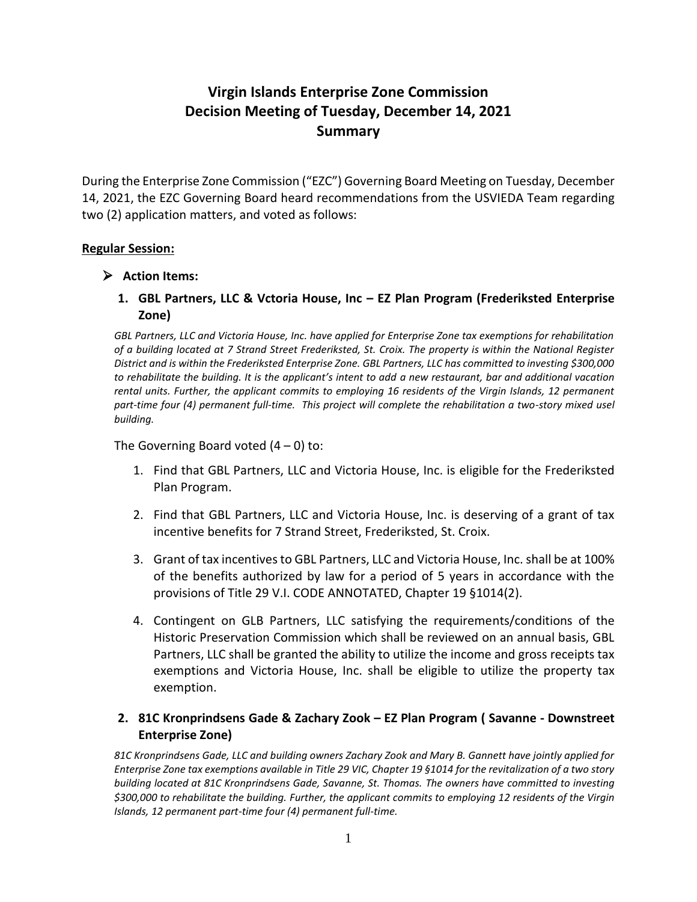## **Virgin Islands Enterprise Zone Commission Decision Meeting of Tuesday, December 14, 2021 Summary**

During the Enterprise Zone Commission ("EZC") Governing Board Meeting on Tuesday, December 14, 2021, the EZC Governing Board heard recommendations from the USVIEDA Team regarding two (2) application matters, and voted as follows:

## **Regular Session:**

## **Action Items:**

**1. GBL Partners, LLC & Vctoria House, Inc – EZ Plan Program (Frederiksted Enterprise Zone)**

*GBL Partners, LLC and Victoria House, Inc. have applied for Enterprise Zone tax exemptions for rehabilitation of a building located at 7 Strand Street Frederiksted, St. Croix. The property is within the National Register District and is within the Frederiksted Enterprise Zone. GBL Partners, LLC has committed to investing \$300,000 to rehabilitate the building. It is the applicant's intent to add a new restaurant, bar and additional vacation rental units. Further, the applicant commits to employing 16 residents of the Virgin Islands, 12 permanent part-time four (4) permanent full-time. This project will complete the rehabilitation a two-story mixed usel building.*

The Governing Board voted  $(4 - 0)$  to:

- 1. Find that GBL Partners, LLC and Victoria House, Inc. is eligible for the Frederiksted Plan Program.
- 2. Find that GBL Partners, LLC and Victoria House, Inc. is deserving of a grant of tax incentive benefits for 7 Strand Street, Frederiksted, St. Croix.
- 3. Grant of tax incentivesto GBL Partners, LLC and Victoria House, Inc. shall be at 100% of the benefits authorized by law for a period of 5 years in accordance with the provisions of Title 29 V.I. CODE ANNOTATED, Chapter 19 §1014(2).
- 4. Contingent on GLB Partners, LLC satisfying the requirements/conditions of the Historic Preservation Commission which shall be reviewed on an annual basis, GBL Partners, LLC shall be granted the ability to utilize the income and gross receipts tax exemptions and Victoria House, Inc. shall be eligible to utilize the property tax exemption.

## **2. 81C Kronprindsens Gade & Zachary Zook – EZ Plan Program ( Savanne - Downstreet Enterprise Zone)**

*81C Kronprindsens Gade, LLC and building owners Zachary Zook and Mary B. Gannett have jointly applied for Enterprise Zone tax exemptions available in Title 29 VIC, Chapter 19 §1014 for the revitalization of a two story building located at 81C Kronprindsens Gade, Savanne, St. Thomas. The owners have committed to investing \$300,000 to rehabilitate the building. Further, the applicant commits to employing 12 residents of the Virgin Islands, 12 permanent part-time four (4) permanent full-time.*